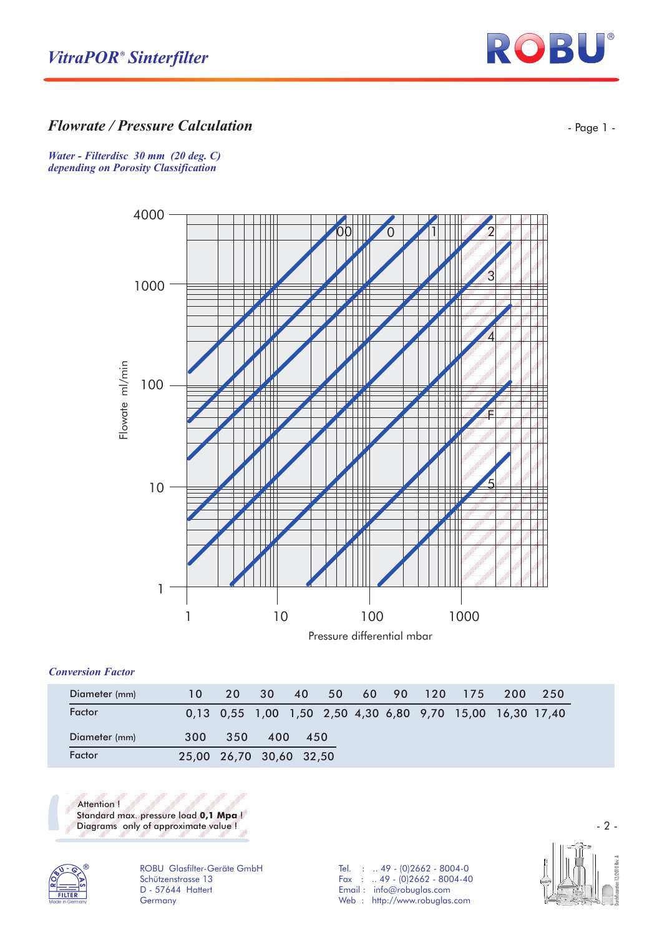

## *Flowrate / Pressure Calculation*  $\blacksquare$

*Water - Filterdisc 30 mm (20 deg. C) depending on Porosity Classification*



## *Conversion Factor*

| Diameter (mm) |                         | <b>20</b> | 30      |  |  | 40 50 60 90 120 175                                       | 200 | -250 |
|---------------|-------------------------|-----------|---------|--|--|-----------------------------------------------------------|-----|------|
| Factor        |                         |           |         |  |  | 0,13 0,55 1,00 1,50 2,50 4,30 6,80 9,70 15,00 16,30 17,40 |     |      |
| Diameter (mm) | 300                     | 350       | 400 450 |  |  |                                                           |     |      |
| Factor        | 25,00 26,70 30,60 32,50 |           |         |  |  |                                                           |     |      |

Standard max. pressure load **0,1 Mpa** ! Diagrams only of approximate value ! Attention<sup>1</sup>



ROBU Glasfilter-Geräte GmbH Schützenstrasse 13 D - 57644 Hattert **Germany** 

Tel. : .. 49 - (0)2662 - 8004-0 Fax : .. 49 - (0)2662 - 8004-40 Email : info@robuglas.com Web : http://www.robuglas.com



- 2 -